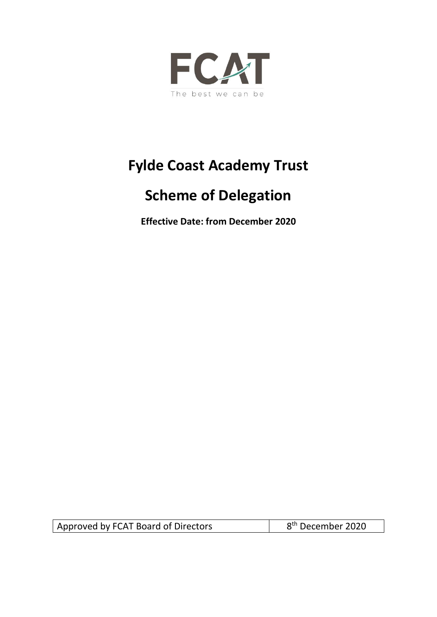

# **Fylde Coast Academy Trust**

# **Scheme of Delegation**

**Effective Date: from December 2020**

Approved by FCAT Board of Directors

8<sup>th</sup> December 2020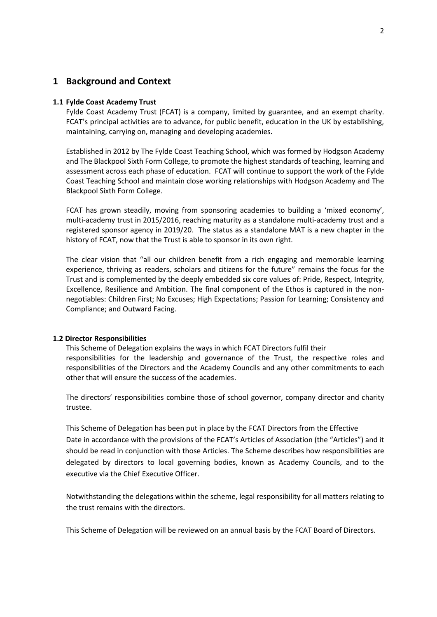# **1 Background and Context**

#### **1.1 Fylde Coast Academy Trust**

Fylde Coast Academy Trust (FCAT) is a company, limited by guarantee, and an exempt charity. FCAT's principal activities are to advance, for public benefit, education in the UK by establishing, maintaining, carrying on, managing and developing academies.

Established in 2012 by The Fylde Coast Teaching School, which was formed by Hodgson Academy and The Blackpool Sixth Form College, to promote the highest standards of teaching, learning and assessment across each phase of education. FCAT will continue to support the work of the Fylde Coast Teaching School and maintain close working relationships with Hodgson Academy and The Blackpool Sixth Form College.

FCAT has grown steadily, moving from sponsoring academies to building a 'mixed economy', multi-academy trust in 2015/2016, reaching maturity as a standalone multi-academy trust and a registered sponsor agency in 2019/20. The status as a standalone MAT is a new chapter in the history of FCAT, now that the Trust is able to sponsor in its own right.

The clear vision that "all our children benefit from a rich engaging and memorable learning experience, thriving as readers, scholars and citizens for the future" remains the focus for the Trust and is complemented by the deeply embedded six core values of: Pride, Respect, Integrity, Excellence, Resilience and Ambition. The final component of the Ethos is captured in the nonnegotiables: Children First; No Excuses; High Expectations; Passion for Learning; Consistency and Compliance; and Outward Facing.

#### **1.2 Director Responsibilities**

This Scheme of Delegation explains the ways in which FCAT Directors fulfil their responsibilities for the leadership and governance of the Trust, the respective roles and responsibilities of the Directors and the Academy Councils and any other commitments to each other that will ensure the success of the academies.

The directors' responsibilities combine those of school governor, company director and charity trustee.

This Scheme of Delegation has been put in place by the FCAT Directors from the Effective Date in accordance with the provisions of the FCAT's Articles of Association (the "Articles") and it should be read in conjunction with those Articles. The Scheme describes how responsibilities are delegated by directors to local governing bodies, known as Academy Councils, and to the executive via the Chief Executive Officer.

Notwithstanding the delegations within the scheme, legal responsibility for all matters relating to the trust remains with the directors.

This Scheme of Delegation will be reviewed on an annual basis by the FCAT Board of Directors.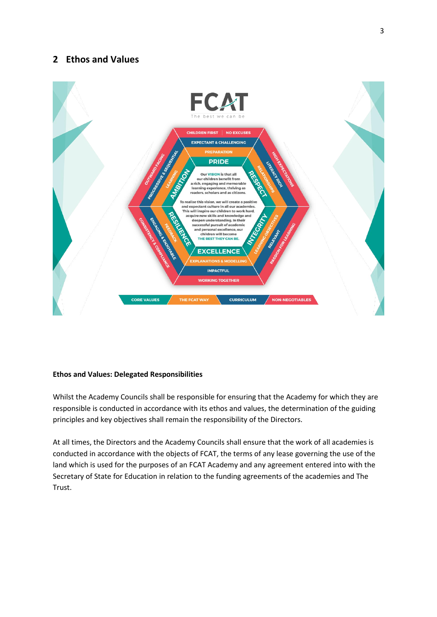# **2 Ethos and Values**



#### **Ethos and Values: Delegated Responsibilities**

Whilst the Academy Councils shall be responsible for ensuring that the Academy for which they are responsible is conducted in accordance with its ethos and values, the determination of the guiding principles and key objectives shall remain the responsibility of the Directors.

At all times, the Directors and the Academy Councils shall ensure that the work of all academies is conducted in accordance with the objects of FCAT, the terms of any lease governing the use of the land which is used for the purposes of an FCAT Academy and any agreement entered into with the Secretary of State for Education in relation to the funding agreements of the academies and The Trust.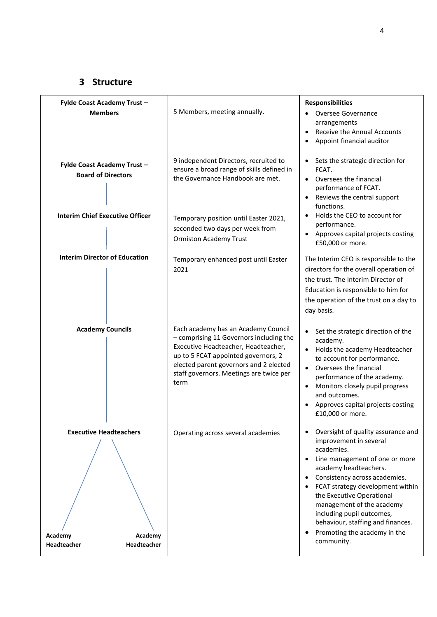# **3 Structure**

| Fylde Coast Academy Trust-                                                               | 5 Members, meeting annually.                                                                                                                                                                                                                              | <b>Responsibilities</b>                                                                                                                                                                                                                                                                                                                                                                   |
|------------------------------------------------------------------------------------------|-----------------------------------------------------------------------------------------------------------------------------------------------------------------------------------------------------------------------------------------------------------|-------------------------------------------------------------------------------------------------------------------------------------------------------------------------------------------------------------------------------------------------------------------------------------------------------------------------------------------------------------------------------------------|
| <b>Members</b>                                                                           |                                                                                                                                                                                                                                                           | Oversee Governance<br>arrangements<br>Receive the Annual Accounts<br>Appoint financial auditor                                                                                                                                                                                                                                                                                            |
| Fylde Coast Academy Trust-<br><b>Board of Directors</b>                                  | 9 independent Directors, recruited to<br>ensure a broad range of skills defined in<br>the Governance Handbook are met.                                                                                                                                    | Sets the strategic direction for<br>FCAT.<br>Oversees the financial<br>$\bullet$<br>performance of FCAT.<br>Reviews the central support<br>functions.                                                                                                                                                                                                                                     |
| <b>Interim Chief Executive Officer</b>                                                   | Temporary position until Easter 2021,<br>seconded two days per week from<br><b>Ormiston Academy Trust</b>                                                                                                                                                 | Holds the CEO to account for<br>performance.<br>Approves capital projects costing<br>£50,000 or more.                                                                                                                                                                                                                                                                                     |
| <b>Interim Director of Education</b>                                                     | Temporary enhanced post until Easter<br>2021                                                                                                                                                                                                              | The Interim CEO is responsible to the<br>directors for the overall operation of<br>the trust. The Interim Director of<br>Education is responsible to him for<br>the operation of the trust on a day to<br>day basis.                                                                                                                                                                      |
| <b>Academy Councils</b>                                                                  | Each academy has an Academy Council<br>- comprising 11 Governors including the<br>Executive Headteacher, Headteacher,<br>up to 5 FCAT appointed governors, 2<br>elected parent governors and 2 elected<br>staff governors. Meetings are twice per<br>term | Set the strategic direction of the<br>$\bullet$<br>academy.<br>Holds the academy Headteacher<br>$\bullet$<br>to account for performance.<br>Oversees the financial<br>performance of the academy.<br>Monitors closely pupil progress<br>and outcomes.<br>Approves capital projects costing<br>£10,000 or more.                                                                            |
| <b>Executive Headteachers</b><br>Academy<br>Academy<br><b>Headteacher</b><br>Headteacher | Operating across several academies                                                                                                                                                                                                                        | Oversight of quality assurance and<br>٠<br>improvement in several<br>academies.<br>Line management of one or more<br>academy headteachers.<br>Consistency across academies.<br>FCAT strategy development within<br>the Executive Operational<br>management of the academy<br>including pupil outcomes,<br>behaviour, staffing and finances.<br>Promoting the academy in the<br>community. |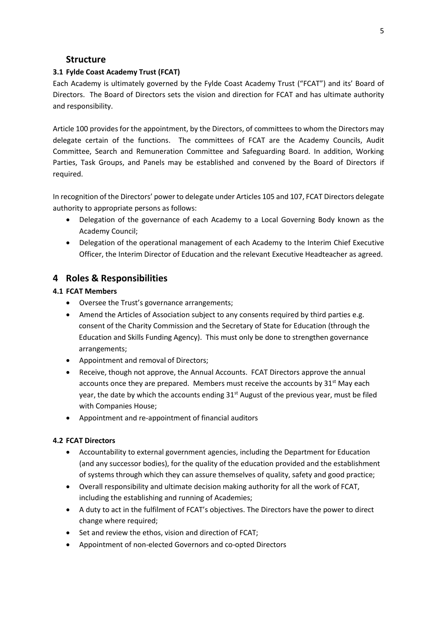## **Structure**

### **3.1 Fylde Coast Academy Trust (FCAT)**

Each Academy is ultimately governed by the Fylde Coast Academy Trust ("FCAT") and its' Board of Directors. The Board of Directors sets the vision and direction for FCAT and has ultimate authority and responsibility.

Article 100 provides for the appointment, by the Directors, of committees to whom the Directors may delegate certain of the functions. The committees of FCAT are the Academy Councils, Audit Committee, Search and Remuneration Committee and Safeguarding Board. In addition, Working Parties, Task Groups, and Panels may be established and convened by the Board of Directors if required.

In recognition of the Directors' power to delegate under Articles 105 and 107, FCAT Directors delegate authority to appropriate persons as follows:

- Delegation of the governance of each Academy to a Local Governing Body known as the Academy Council;
- Delegation of the operational management of each Academy to the Interim Chief Executive Officer, the Interim Director of Education and the relevant Executive Headteacher as agreed.

# **4 Roles & Responsibilities**

#### **4.1 FCAT Members**

- Oversee the Trust's governance arrangements;
- Amend the Articles of Association subject to any consents required by third parties e.g. consent of the Charity Commission and the Secretary of State for Education (through the Education and Skills Funding Agency). This must only be done to strengthen governance arrangements;
- Appointment and removal of Directors;
- Receive, though not approve, the Annual Accounts. FCAT Directors approve the annual accounts once they are prepared. Members must receive the accounts by  $31^{st}$  May each year, the date by which the accounts ending  $31<sup>st</sup>$  August of the previous year, must be filed with Companies House;
- Appointment and re-appointment of financial auditors

#### **4.2 FCAT Directors**

- Accountability to external government agencies, including the Department for Education (and any successor bodies), for the quality of the education provided and the establishment of systems through which they can assure themselves of quality, safety and good practice;
- Overall responsibility and ultimate decision making authority for all the work of FCAT, including the establishing and running of Academies;
- A duty to act in the fulfilment of FCAT's objectives. The Directors have the power to direct change where required;
- Set and review the ethos, vision and direction of FCAT;
- Appointment of non-elected Governors and co-opted Directors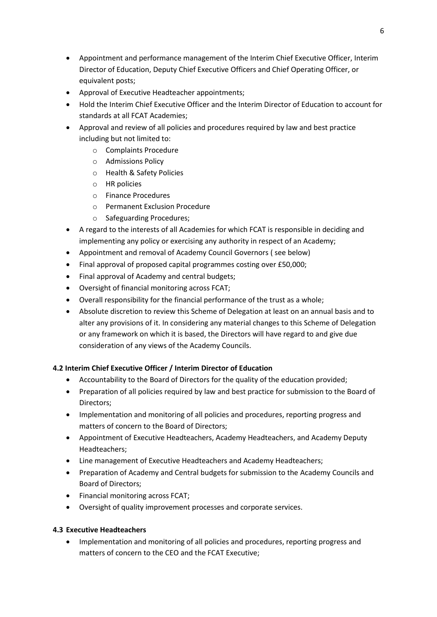- Appointment and performance management of the Interim Chief Executive Officer, Interim Director of Education, Deputy Chief Executive Officers and Chief Operating Officer, or equivalent posts;
- Approval of Executive Headteacher appointments;
- Hold the Interim Chief Executive Officer and the Interim Director of Education to account for standards at all FCAT Academies;
- Approval and review of all policies and procedures required by law and best practice including but not limited to:
	- o Complaints Procedure
	- o Admissions Policy
	- o Health & Safety Policies
	- o HR policies
	- o Finance Procedures
	- o Permanent Exclusion Procedure
	- o Safeguarding Procedures;
- A regard to the interests of all Academies for which FCAT is responsible in deciding and implementing any policy or exercising any authority in respect of an Academy;
- Appointment and removal of Academy Council Governors ( see below)
- Final approval of proposed capital programmes costing over £50,000;
- Final approval of Academy and central budgets;
- Oversight of financial monitoring across FCAT;
- Overall responsibility for the financial performance of the trust as a whole;
- Absolute discretion to review this Scheme of Delegation at least on an annual basis and to alter any provisions of it. In considering any material changes to this Scheme of Delegation or any framework on which it is based, the Directors will have regard to and give due consideration of any views of the Academy Councils.

## **4.2 Interim Chief Executive Officer / Interim Director of Education**

- Accountability to the Board of Directors for the quality of the education provided;
- Preparation of all policies required by law and best practice for submission to the Board of Directors;
- Implementation and monitoring of all policies and procedures, reporting progress and matters of concern to the Board of Directors;
- Appointment of Executive Headteachers, Academy Headteachers, and Academy Deputy Headteachers;
- Line management of Executive Headteachers and Academy Headteachers;
- Preparation of Academy and Central budgets for submission to the Academy Councils and Board of Directors;
- Financial monitoring across FCAT;
- Oversight of quality improvement processes and corporate services.

## **4.3 Executive Headteachers**

• Implementation and monitoring of all policies and procedures, reporting progress and matters of concern to the CEO and the FCAT Executive;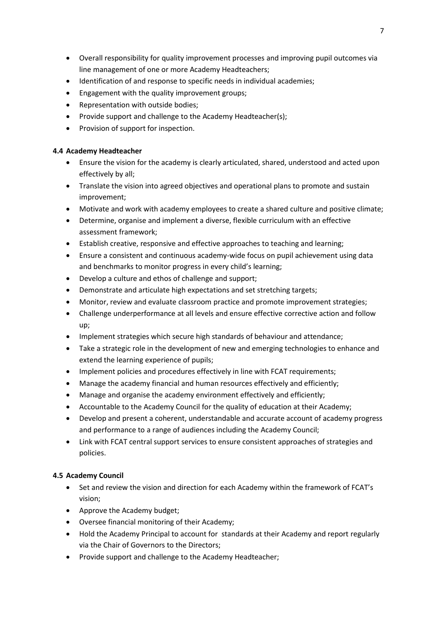- Overall responsibility for quality improvement processes and improving pupil outcomes via line management of one or more Academy Headteachers;
- Identification of and response to specific needs in individual academies;
- Engagement with the quality improvement groups;
- Representation with outside bodies;
- Provide support and challenge to the Academy Headteacher(s);
- Provision of support for inspection.

### **4.4 Academy Headteacher**

- Ensure the vision for the academy is clearly articulated, shared, understood and acted upon effectively by all;
- Translate the vision into agreed objectives and operational plans to promote and sustain improvement;
- Motivate and work with academy employees to create a shared culture and positive climate;
- Determine, organise and implement a diverse, flexible curriculum with an effective assessment framework;
- Establish creative, responsive and effective approaches to teaching and learning;
- Ensure a consistent and continuous academy-wide focus on pupil achievement using data and benchmarks to monitor progress in every child's learning;
- Develop a culture and ethos of challenge and support;
- Demonstrate and articulate high expectations and set stretching targets;
- Monitor, review and evaluate classroom practice and promote improvement strategies;
- Challenge underperformance at all levels and ensure effective corrective action and follow up;
- Implement strategies which secure high standards of behaviour and attendance;
- Take a strategic role in the development of new and emerging technologies to enhance and extend the learning experience of pupils;
- Implement policies and procedures effectively in line with FCAT requirements;
- Manage the academy financial and human resources effectively and efficiently;
- Manage and organise the academy environment effectively and efficiently;
- Accountable to the Academy Council for the quality of education at their Academy;
- Develop and present a coherent, understandable and accurate account of academy progress and performance to a range of audiences including the Academy Council;
- Link with FCAT central support services to ensure consistent approaches of strategies and policies.

## **4.5 Academy Council**

- Set and review the vision and direction for each Academy within the framework of FCAT's vision;
- Approve the Academy budget;
- Oversee financial monitoring of their Academy;
- Hold the Academy Principal to account for standards at their Academy and report regularly via the Chair of Governors to the Directors;
- Provide support and challenge to the Academy Headteacher;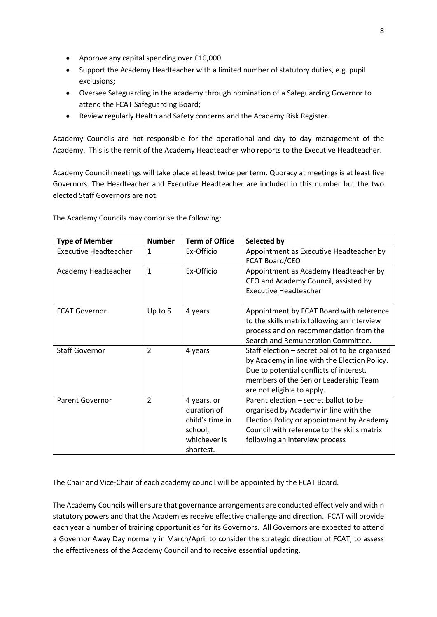- Approve any capital spending over £10,000.
- Support the Academy Headteacher with a limited number of statutory duties, e.g. pupil exclusions;
- Oversee Safeguarding in the academy through nomination of a Safeguarding Governor to attend the FCAT Safeguarding Board;
- Review regularly Health and Safety concerns and the Academy Risk Register.

Academy Councils are not responsible for the operational and day to day management of the Academy. This is the remit of the Academy Headteacher who reports to the Executive Headteacher.

Academy Council meetings will take place at least twice per term. Quoracy at meetings is at least five Governors. The Headteacher and Executive Headteacher are included in this number but the two elected Staff Governors are not.

| <b>Type of Member</b>        | <b>Number</b>  | <b>Term of Office</b>                                                                 | Selected by                                                                                                                                                                                                      |
|------------------------------|----------------|---------------------------------------------------------------------------------------|------------------------------------------------------------------------------------------------------------------------------------------------------------------------------------------------------------------|
| <b>Executive Headteacher</b> | 1              | Ex-Officio                                                                            | Appointment as Executive Headteacher by<br><b>FCAT Board/CEO</b>                                                                                                                                                 |
| Academy Headteacher          | $\mathbf{1}$   | Ex-Officio                                                                            | Appointment as Academy Headteacher by<br>CEO and Academy Council, assisted by<br><b>Executive Headteacher</b>                                                                                                    |
| <b>FCAT Governor</b>         | Up to 5        | 4 years                                                                               | Appointment by FCAT Board with reference<br>to the skills matrix following an interview<br>process and on recommendation from the<br>Search and Remuneration Committee.                                          |
| <b>Staff Governor</b>        | $\overline{2}$ | 4 years                                                                               | Staff election - secret ballot to be organised<br>by Academy in line with the Election Policy.<br>Due to potential conflicts of interest,<br>members of the Senior Leadership Team<br>are not eligible to apply. |
| <b>Parent Governor</b>       | $\overline{2}$ | 4 years, or<br>duration of<br>child's time in<br>school,<br>whichever is<br>shortest. | Parent election – secret ballot to be<br>organised by Academy in line with the<br>Election Policy or appointment by Academy<br>Council with reference to the skills matrix<br>following an interview process     |

The Academy Councils may comprise the following:

The Chair and Vice-Chair of each academy council will be appointed by the FCAT Board.

The Academy Councils will ensure that governance arrangements are conducted effectively and within statutory powers and that the Academies receive effective challenge and direction. FCAT will provide each year a number of training opportunities for its Governors. All Governors are expected to attend a Governor Away Day normally in March/April to consider the strategic direction of FCAT, to assess the effectiveness of the Academy Council and to receive essential updating.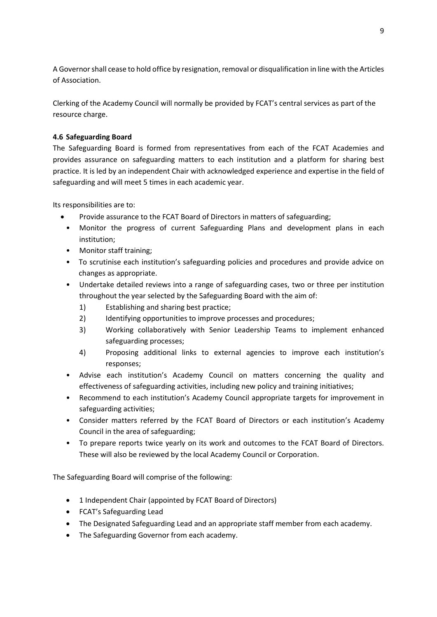A Governor shall cease to hold office by resignation, removal or disqualification in line with the Articles of Association.

Clerking of the Academy Council will normally be provided by FCAT's central services as part of the resource charge.

## **4.6 Safeguarding Board**

The Safeguarding Board is formed from representatives from each of the FCAT Academies and provides assurance on safeguarding matters to each institution and a platform for sharing best practice. It is led by an independent Chair with acknowledged experience and expertise in the field of safeguarding and will meet 5 times in each academic year.

Its responsibilities are to:

- Provide assurance to the FCAT Board of Directors in matters of safeguarding;
- Monitor the progress of current Safeguarding Plans and development plans in each institution;
- Monitor staff training;
- To scrutinise each institution's safeguarding policies and procedures and provide advice on changes as appropriate.
- Undertake detailed reviews into a range of safeguarding cases, two or three per institution throughout the year selected by the Safeguarding Board with the aim of:
	- 1) Establishing and sharing best practice;
	- 2) Identifying opportunities to improve processes and procedures;
	- 3) Working collaboratively with Senior Leadership Teams to implement enhanced safeguarding processes;
	- 4) Proposing additional links to external agencies to improve each institution's responses;
- Advise each institution's Academy Council on matters concerning the quality and effectiveness of safeguarding activities, including new policy and training initiatives;
- Recommend to each institution's Academy Council appropriate targets for improvement in safeguarding activities;
- Consider matters referred by the FCAT Board of Directors or each institution's Academy Council in the area of safeguarding;
- To prepare reports twice yearly on its work and outcomes to the FCAT Board of Directors. These will also be reviewed by the local Academy Council or Corporation.

The Safeguarding Board will comprise of the following:

- 1 Independent Chair (appointed by FCAT Board of Directors)
- FCAT's Safeguarding Lead
- The Designated Safeguarding Lead and an appropriate staff member from each academy.
- The Safeguarding Governor from each academy.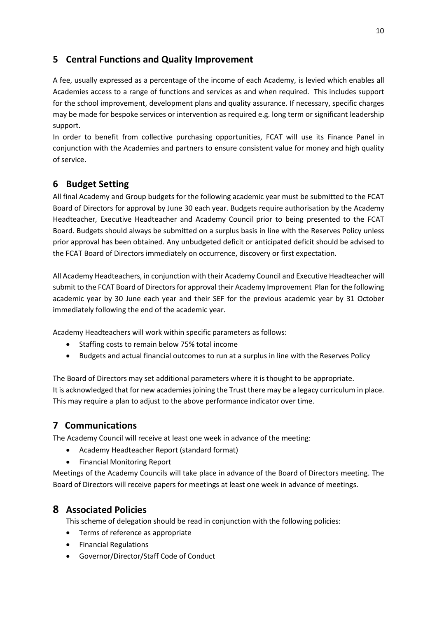# **5 Central Functions and Quality Improvement**

A fee, usually expressed as a percentage of the income of each Academy, is levied which enables all Academies access to a range of functions and services as and when required. This includes support for the school improvement, development plans and quality assurance. If necessary, specific charges may be made for bespoke services or intervention as required e.g. long term or significant leadership support.

In order to benefit from collective purchasing opportunities, FCAT will use its Finance Panel in conjunction with the Academies and partners to ensure consistent value for money and high quality of service.

# **6 Budget Setting**

All final Academy and Group budgets for the following academic year must be submitted to the FCAT Board of Directors for approval by June 30 each year. Budgets require authorisation by the Academy Headteacher, Executive Headteacher and Academy Council prior to being presented to the FCAT Board. Budgets should always be submitted on a surplus basis in line with the Reserves Policy unless prior approval has been obtained. Any unbudgeted deficit or anticipated deficit should be advised to the FCAT Board of Directors immediately on occurrence, discovery or first expectation.

All Academy Headteachers, in conjunction with their Academy Council and Executive Headteacher will submit to the FCAT Board of Directors for approval their Academy Improvement Plan for the following academic year by 30 June each year and their SEF for the previous academic year by 31 October immediately following the end of the academic year.

Academy Headteachers will work within specific parameters as follows:

- Staffing costs to remain below 75% total income
- Budgets and actual financial outcomes to run at a surplus in line with the Reserves Policy

The Board of Directors may set additional parameters where it is thought to be appropriate. It is acknowledged that for new academies joining the Trust there may be a legacy curriculum in place. This may require a plan to adjust to the above performance indicator over time.

# **7 Communications**

The Academy Council will receive at least one week in advance of the meeting:

- Academy Headteacher Report (standard format)
- Financial Monitoring Report

Meetings of the Academy Councils will take place in advance of the Board of Directors meeting. The Board of Directors will receive papers for meetings at least one week in advance of meetings.

# **8 Associated Policies**

This scheme of delegation should be read in conjunction with the following policies:

- Terms of reference as appropriate
- **•** Financial Regulations
- Governor/Director/Staff Code of Conduct